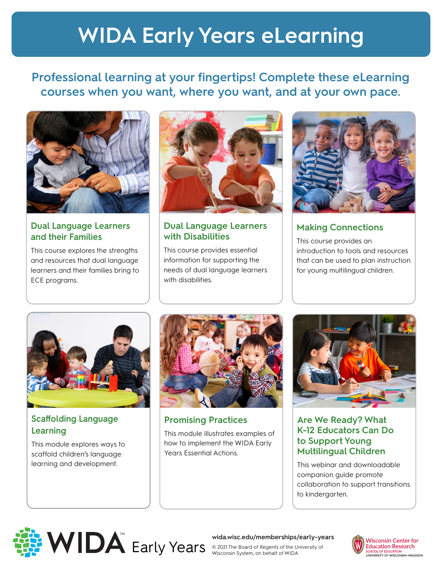## **WIDA Early Years eLearning**

#### **Professional learning at your fingertips! Complete these eLearning courses when you want, where you want, and at your own pace.**



**Dual Language Learners and their Families** 

This course explores the strengths and resources that dual language learners and their families bring to ECE programs.



#### **Dual Language Learners with Disabilities**

This course provides essential information for supporting the needs of dual language learners with disabilities.



**Making Connections**

This course provides an introduction to tools and resources that can be used to plan instruction for young multilingual children.



#### **Scaffolding Language Learning**

This module explores ways to scaffold children's language learning and development.



**Promising Practices** 

This module illustrates examples of how to implement the WIDA Early Years Essential Actions.



#### **Are We Ready? What K-12 Educators Can Do to Support Young Multilingual Children**

This webinar and downloadable companion guide promote collaboration to support transitions to kindergarten.



**wida.wisc.edu/memberships/early-years**



Early Years © 2021 The Board of Regents of the University of Wisconsin System, on behalf of WIDA